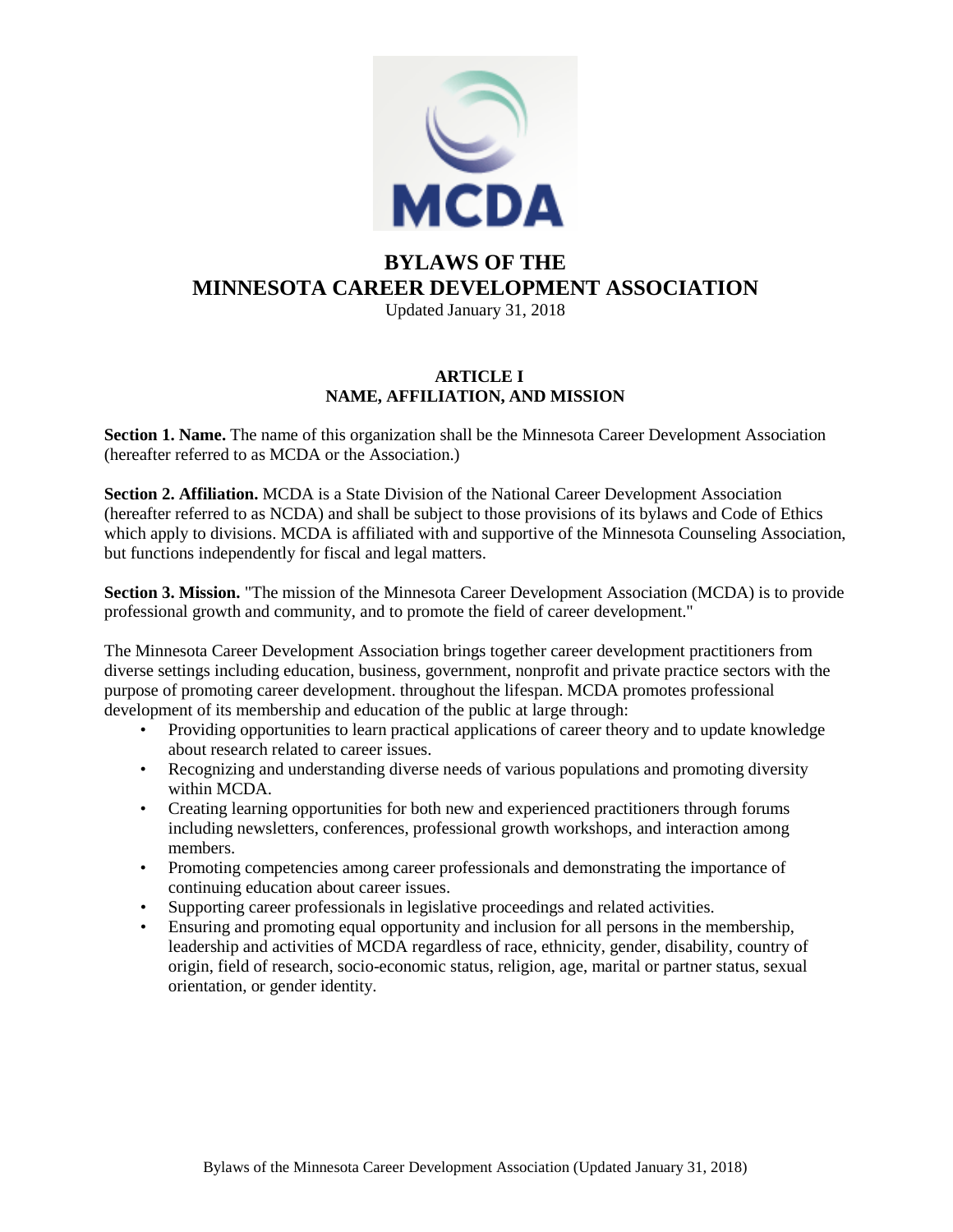

# **BYLAWS OF THE MINNESOTA CAREER DEVELOPMENT ASSOCIATION**

Updated January 31, 2018

## **ARTICLE I NAME, AFFILIATION, AND MISSION**

**Section 1. Name.** The name of this organization shall be the Minnesota Career Development Association (hereafter referred to as MCDA or the Association.)

**Section 2. Affiliation.** MCDA is a State Division of the National Career Development Association (hereafter referred to as NCDA) and shall be subject to those provisions of its bylaws and Code of Ethics which apply to divisions. MCDA is affiliated with and supportive of the Minnesota Counseling Association, but functions independently for fiscal and legal matters.

**Section 3. Mission.** "The mission of the Minnesota Career Development Association (MCDA) is to provide professional growth and community, and to promote the field of career development."

The Minnesota Career Development Association brings together career development practitioners from diverse settings including education, business, government, nonprofit and private practice sectors with the purpose of promoting career development. throughout the lifespan. MCDA promotes professional development of its membership and education of the public at large through:

- Providing opportunities to learn practical applications of career theory and to update knowledge about research related to career issues.
- Recognizing and understanding diverse needs of various populations and promoting diversity within MCDA.
- Creating learning opportunities for both new and experienced practitioners through forums including newsletters, conferences, professional growth workshops, and interaction among members.
- Promoting competencies among career professionals and demonstrating the importance of continuing education about career issues.
- Supporting career professionals in legislative proceedings and related activities.
- Ensuring and promoting equal opportunity and inclusion for all persons in the membership, leadership and activities of MCDA regardless of race, ethnicity, gender, disability, country of origin, field of research, socio-economic status, religion, age, marital or partner status, sexual orientation, or gender identity.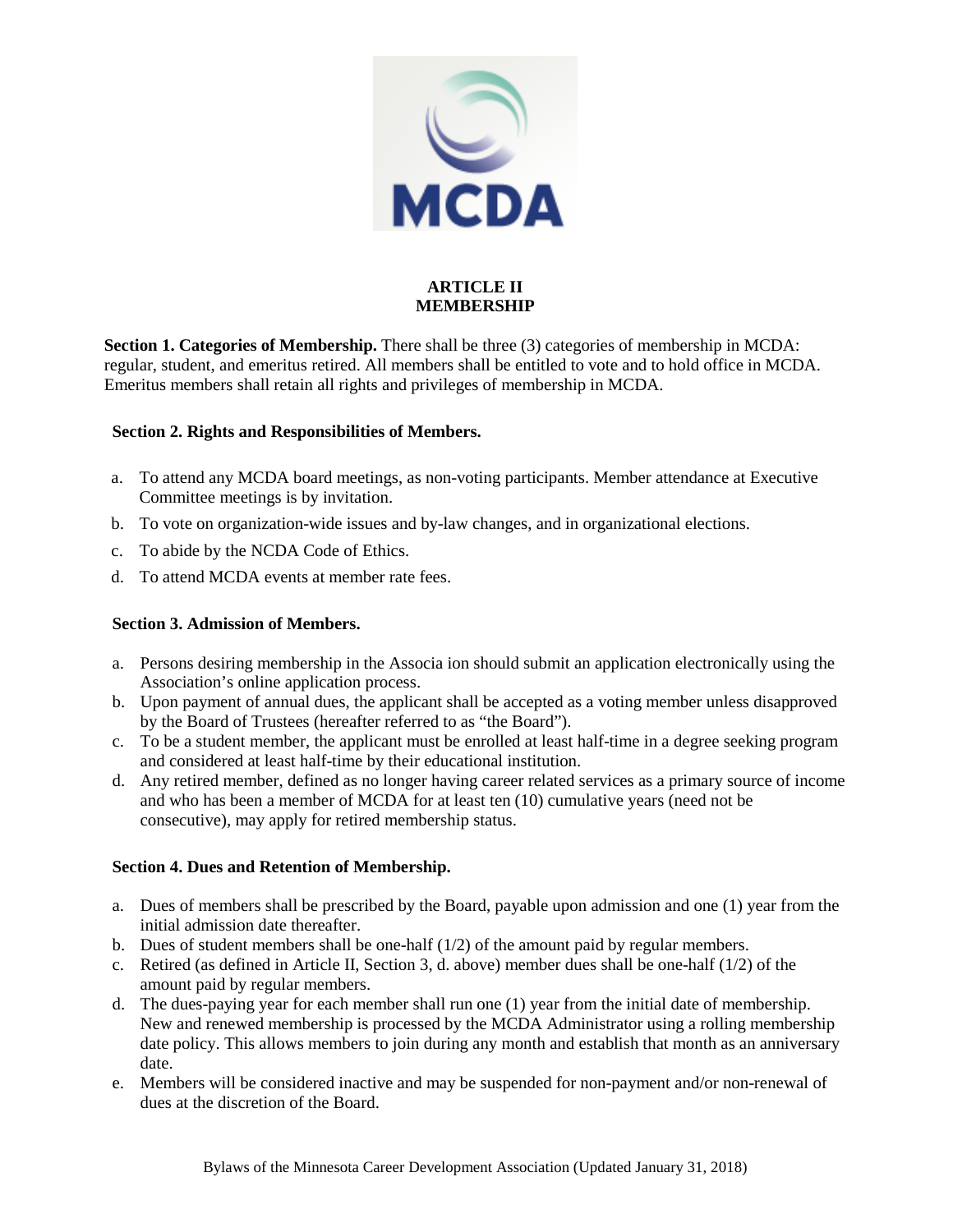

## **ARTICLE II MEMBERSHIP**

**Section 1. Categories of Membership.** There shall be three (3) categories of membership in MCDA: regular, student, and emeritus retired. All members shall be entitled to vote and to hold office in MCDA. Emeritus members shall retain all rights and privileges of membership in MCDA.

## **Section 2. Rights and Responsibilities of Members.**

- a. To attend any MCDA board meetings, as non-voting participants. Member attendance at Executive Committee meetings is by invitation.
- b. To vote on organization-wide issues and by-law changes, and in organizational elections.
- c. To abide by the NCDA Code of Ethics.
- d. To attend MCDA events at member rate fees.

## **Section 3. Admission of Members.**

- a. Persons desiring membership in the Associa ion should submit an application electronically using the Association's online application process.
- b. Upon payment of annual dues, the applicant shall be accepted as a voting member unless disapproved by the Board of Trustees (hereafter referred to as "the Board").
- c. To be a student member, the applicant must be enrolled at least half-time in a degree seeking program and considered at least half-time by their educational institution.
- d. Any retired member, defined as no longer having career related services as a primary source of income and who has been a member of MCDA for at least ten (10) cumulative years (need not be consecutive), may apply for retired membership status.

#### **Section 4. Dues and Retention of Membership.**

- a. Dues of members shall be prescribed by the Board, payable upon admission and one (1) year from the initial admission date thereafter.
- b. Dues of student members shall be one-half  $(1/2)$  of the amount paid by regular members.
- c. Retired (as defined in Article II, Section 3, d. above) member dues shall be one-half (1/2) of the amount paid by regular members.
- d. The dues-paying year for each member shall run one (1) year from the initial date of membership. New and renewed membership is processed by the MCDA Administrator using a rolling membership date policy. This allows members to join during any month and establish that month as an anniversary date.
- e. Members will be considered inactive and may be suspended for non-payment and/or non-renewal of dues at the discretion of the Board.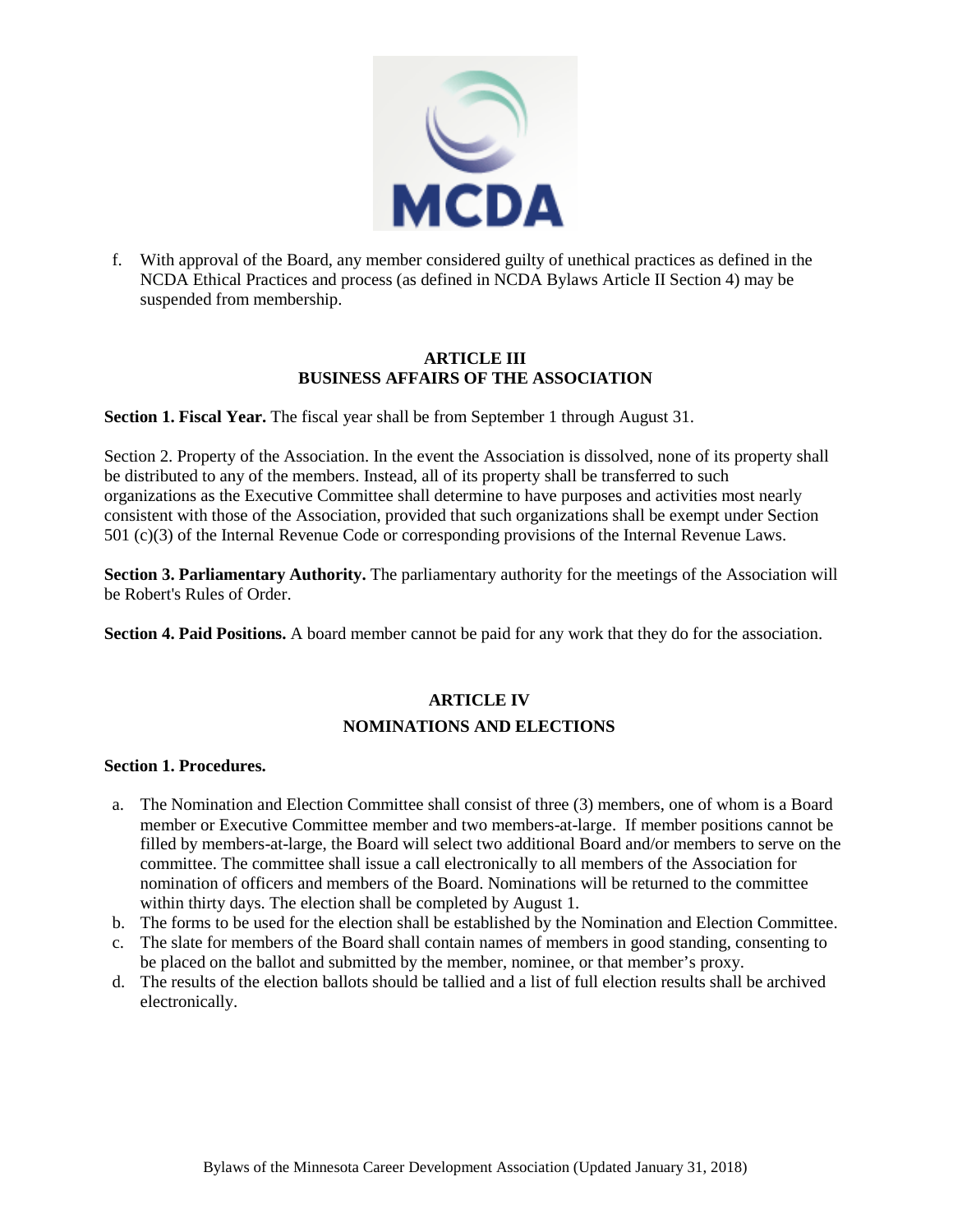

f. With approval of the Board, any member considered guilty of unethical practices as defined in the NCDA Ethical Practices and process (as defined in NCDA Bylaws Article II Section 4) may be suspended from membership.

## **ARTICLE III BUSINESS AFFAIRS OF THE ASSOCIATION**

**Section 1. Fiscal Year.** The fiscal year shall be from September 1 through August 31.

Section 2. Property of the Association. In the event the Association is dissolved, none of its property shall be distributed to any of the members. Instead, all of its property shall be transferred to such organizations as the Executive Committee shall determine to have purposes and activities most nearly consistent with those of the Association, provided that such organizations shall be exempt under Section 501 (c)(3) of the Internal Revenue Code or corresponding provisions of the Internal Revenue Laws.

**Section 3. Parliamentary Authority.** The parliamentary authority for the meetings of the Association will be Robert's Rules of Order.

**Section 4. Paid Positions.** A board member cannot be paid for any work that they do for the association.

## **ARTICLE IV NOMINATIONS AND ELECTIONS**

## **Section 1. Procedures.**

- a. The Nomination and Election Committee shall consist of three (3) members, one of whom is a Board member or Executive Committee member and two members-at-large. If member positions cannot be filled by members-at-large, the Board will select two additional Board and/or members to serve on the committee. The committee shall issue a call electronically to all members of the Association for nomination of officers and members of the Board. Nominations will be returned to the committee within thirty days. The election shall be completed by August 1.
- b. The forms to be used for the election shall be established by the Nomination and Election Committee.
- c. The slate for members of the Board shall contain names of members in good standing, consenting to be placed on the ballot and submitted by the member, nominee, or that member's proxy.
- d. The results of the election ballots should be tallied and a list of full election results shall be archived electronically.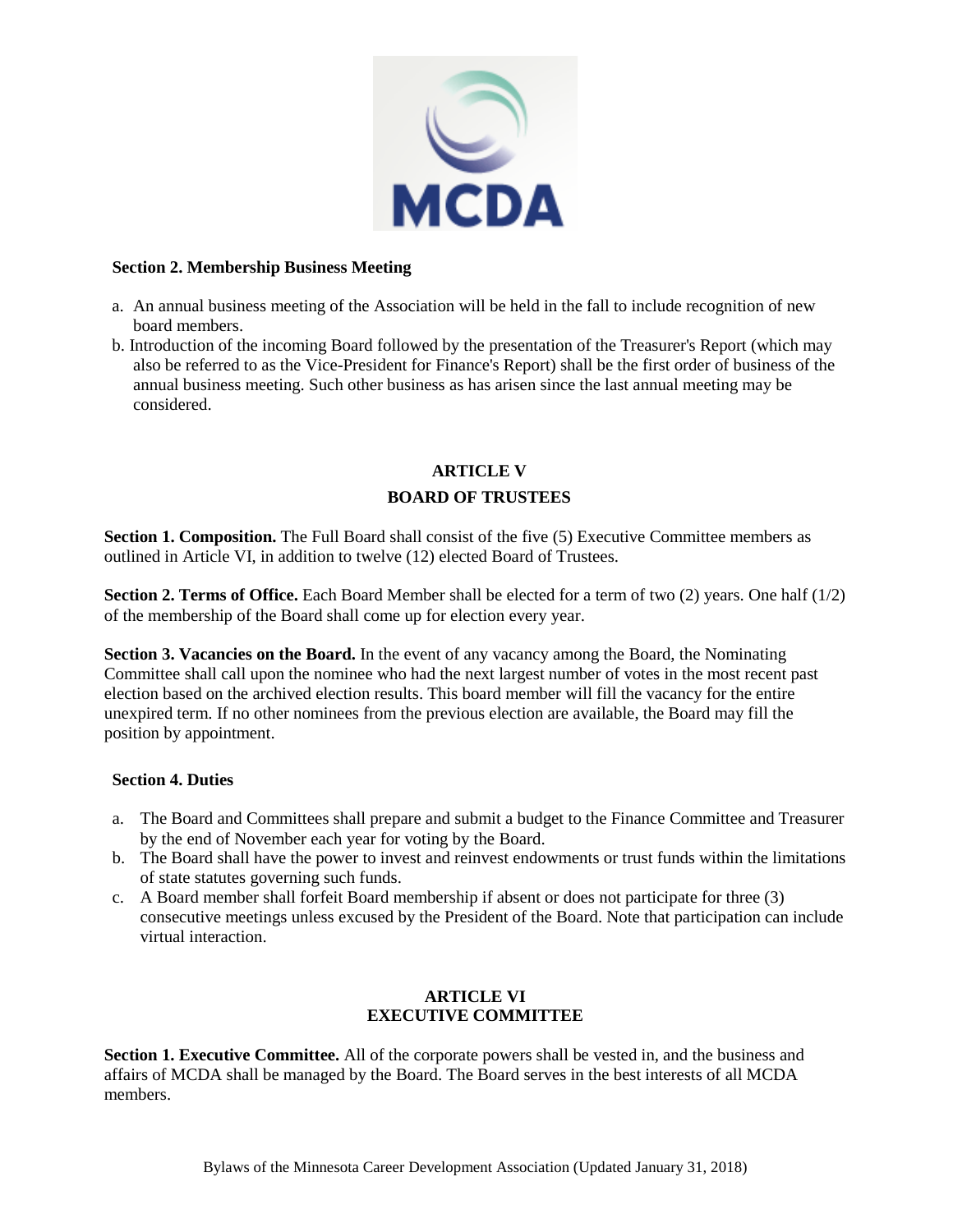

#### **Section 2. Membership Business Meeting**

- a. An annual business meeting of the Association will be held in the fall to include recognition of new board members.
- b. Introduction of the incoming Board followed by the presentation of the Treasurer's Report (which may also be referred to as the Vice-President for Finance's Report) shall be the first order of business of the annual business meeting. Such other business as has arisen since the last annual meeting may be considered.

## **ARTICLE V BOARD OF TRUSTEES**

**Section 1. Composition.** The Full Board shall consist of the five (5) Executive Committee members as outlined in Article VI, in addition to twelve (12) elected Board of Trustees.

**Section 2. Terms of Office.** Each Board Member shall be elected for a term of two (2) years. One half (1/2) of the membership of the Board shall come up for election every year.

**Section 3. Vacancies on the Board.** In the event of any vacancy among the Board, the Nominating Committee shall call upon the nominee who had the next largest number of votes in the most recent past election based on the archived election results. This board member will fill the vacancy for the entire unexpired term. If no other nominees from the previous election are available, the Board may fill the position by appointment.

## **Section 4. Duties**

- a. The Board and Committees shall prepare and submit a budget to the Finance Committee and Treasurer by the end of November each year for voting by the Board.
- b. The Board shall have the power to invest and reinvest endowments or trust funds within the limitations of state statutes governing such funds.
- c. A Board member shall forfeit Board membership if absent or does not participate for three (3) consecutive meetings unless excused by the President of the Board. Note that participation can include virtual interaction.

## **ARTICLE VI EXECUTIVE COMMITTEE**

**Section 1. Executive Committee.** All of the corporate powers shall be vested in, and the business and affairs of MCDA shall be managed by the Board. The Board serves in the best interests of all MCDA members.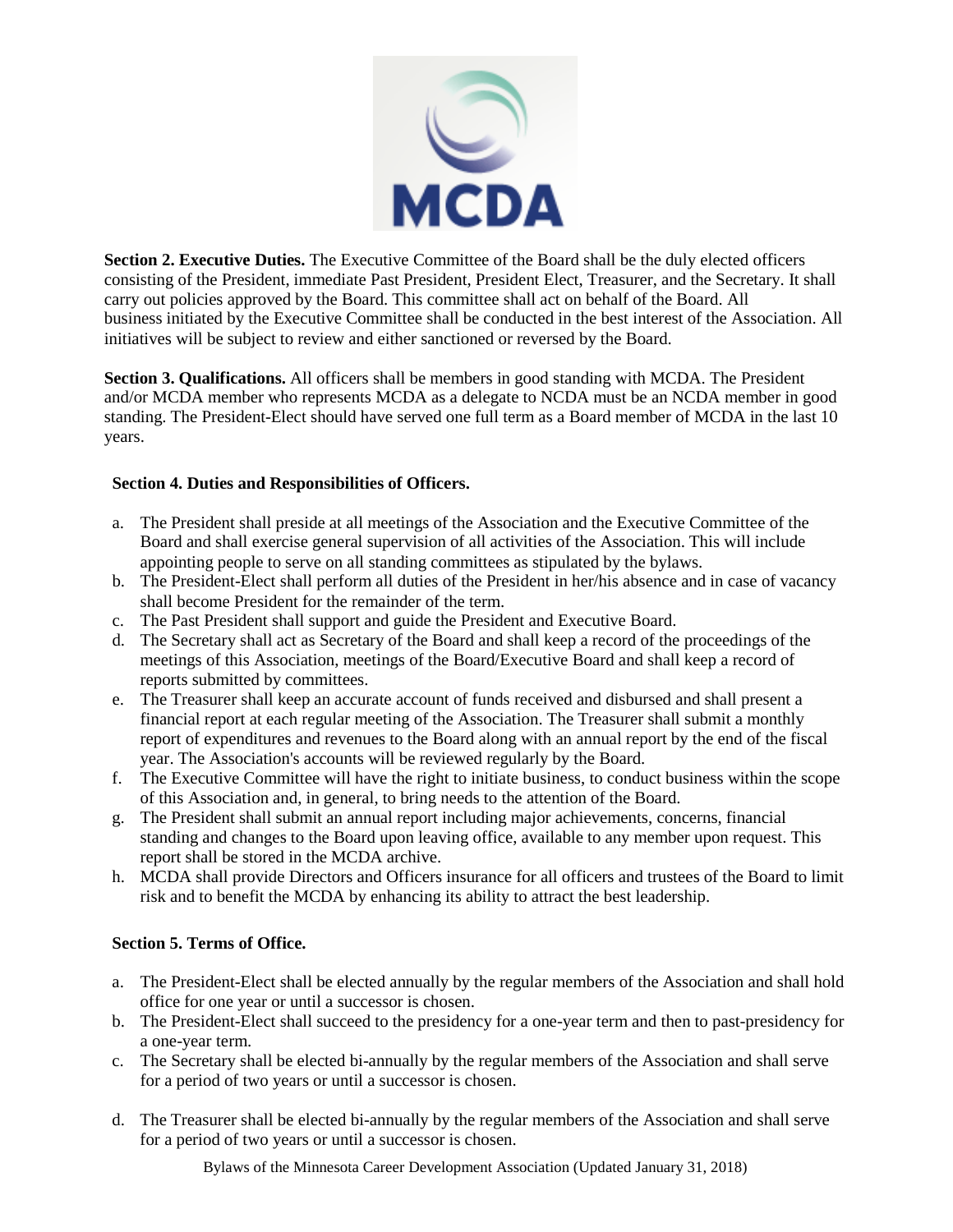

**Section 2. Executive Duties.** The Executive Committee of the Board shall be the duly elected officers consisting of the President, immediate Past President, President Elect, Treasurer, and the Secretary. It shall carry out policies approved by the Board. This committee shall act on behalf of the Board. All business initiated by the Executive Committee shall be conducted in the best interest of the Association. All initiatives will be subject to review and either sanctioned or reversed by the Board.

**Section 3. Qualifications.** All officers shall be members in good standing with MCDA. The President and/or MCDA member who represents MCDA as a delegate to NCDA must be an NCDA member in good standing. The President-Elect should have served one full term as a Board member of MCDA in the last 10 years.

## **Section 4. Duties and Responsibilities of Officers.**

- a. The President shall preside at all meetings of the Association and the Executive Committee of the Board and shall exercise general supervision of all activities of the Association. This will include appointing people to serve on all standing committees as stipulated by the bylaws.
- b. The President-Elect shall perform all duties of the President in her/his absence and in case of vacancy shall become President for the remainder of the term.
- c. The Past President shall support and guide the President and Executive Board.
- d. The Secretary shall act as Secretary of the Board and shall keep a record of the proceedings of the meetings of this Association, meetings of the Board/Executive Board and shall keep a record of reports submitted by committees.
- e. The Treasurer shall keep an accurate account of funds received and disbursed and shall present a financial report at each regular meeting of the Association. The Treasurer shall submit a monthly report of expenditures and revenues to the Board along with an annual report by the end of the fiscal year. The Association's accounts will be reviewed regularly by the Board.
- f. The Executive Committee will have the right to initiate business, to conduct business within the scope of this Association and, in general, to bring needs to the attention of the Board.
- g. The President shall submit an annual report including major achievements, concerns, financial standing and changes to the Board upon leaving office, available to any member upon request. This report shall be stored in the MCDA archive.
- h. MCDA shall provide Directors and Officers insurance for all officers and trustees of the Board to limit risk and to benefit the MCDA by enhancing its ability to attract the best leadership.

## **Section 5. Terms of Office.**

- a. The President-Elect shall be elected annually by the regular members of the Association and shall hold office for one year or until a successor is chosen.
- b. The President-Elect shall succeed to the presidency for a one-year term and then to past-presidency for a one-year term.
- c. The Secretary shall be elected bi-annually by the regular members of the Association and shall serve for a period of two years or until a successor is chosen.
- d. The Treasurer shall be elected bi-annually by the regular members of the Association and shall serve for a period of two years or until a successor is chosen.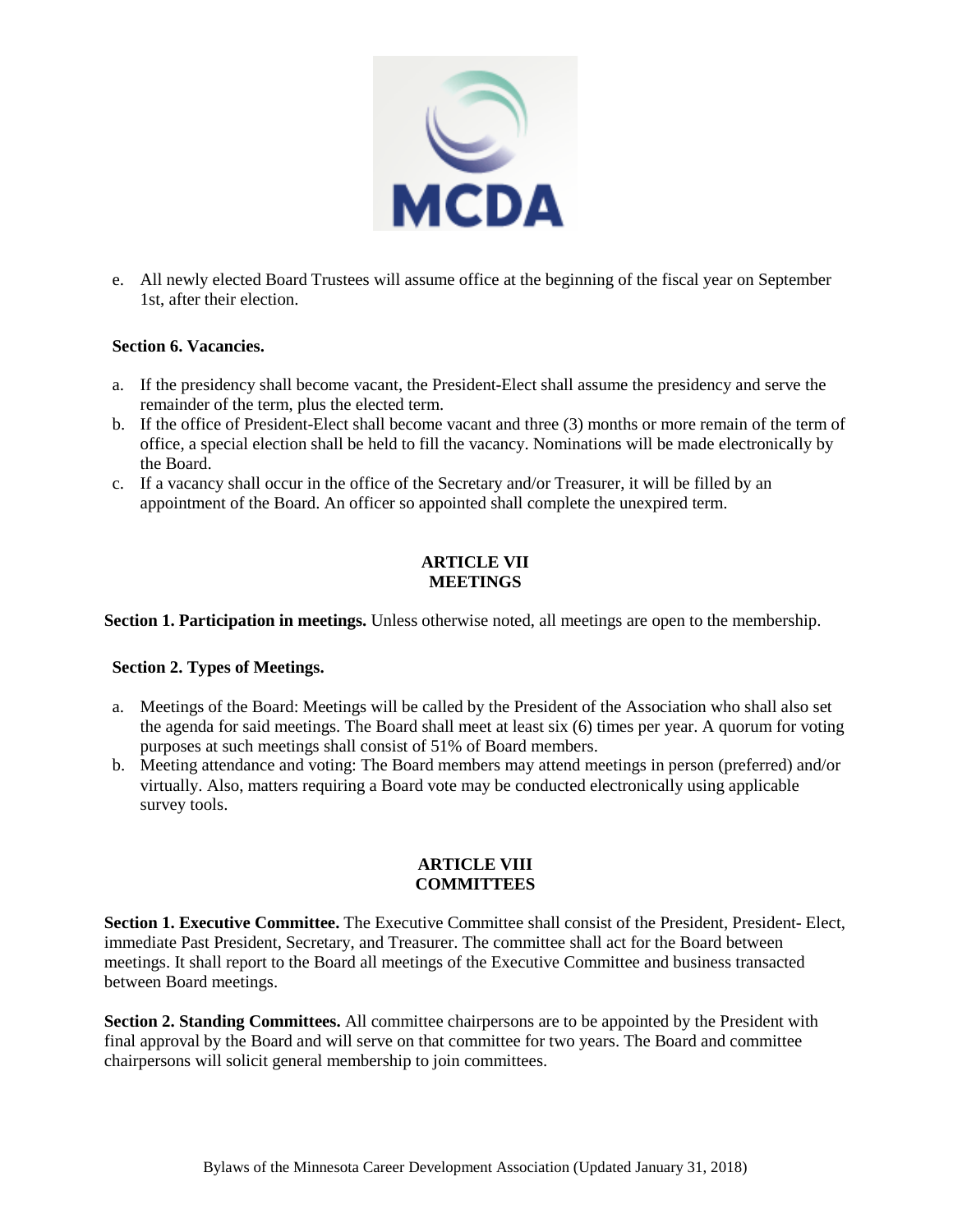

e. All newly elected Board Trustees will assume office at the beginning of the fiscal year on September 1st, after their election.

#### **Section 6. Vacancies.**

- a. If the presidency shall become vacant, the President-Elect shall assume the presidency and serve the remainder of the term, plus the elected term.
- b. If the office of President-Elect shall become vacant and three (3) months or more remain of the term of office, a special election shall be held to fill the vacancy. Nominations will be made electronically by the Board.
- c. If a vacancy shall occur in the office of the Secretary and/or Treasurer, it will be filled by an appointment of the Board. An officer so appointed shall complete the unexpired term.

## **ARTICLE VII MEETINGS**

**Section 1. Participation in meetings.** Unless otherwise noted, all meetings are open to the membership.

## **Section 2. Types of Meetings.**

- a. Meetings of the Board: Meetings will be called by the President of the Association who shall also set the agenda for said meetings. The Board shall meet at least six (6) times per year. A quorum for voting purposes at such meetings shall consist of 51% of Board members.
- b. Meeting attendance and voting: The Board members may attend meetings in person (preferred) and/or virtually. Also, matters requiring a Board vote may be conducted electronically using applicable survey tools.

## **ARTICLE VIII COMMITTEES**

**Section 1. Executive Committee.** The Executive Committee shall consist of the President, President- Elect, immediate Past President, Secretary, and Treasurer. The committee shall act for the Board between meetings. It shall report to the Board all meetings of the Executive Committee and business transacted between Board meetings.

**Section 2. Standing Committees.** All committee chairpersons are to be appointed by the President with final approval by the Board and will serve on that committee for two years. The Board and committee chairpersons will solicit general membership to join committees.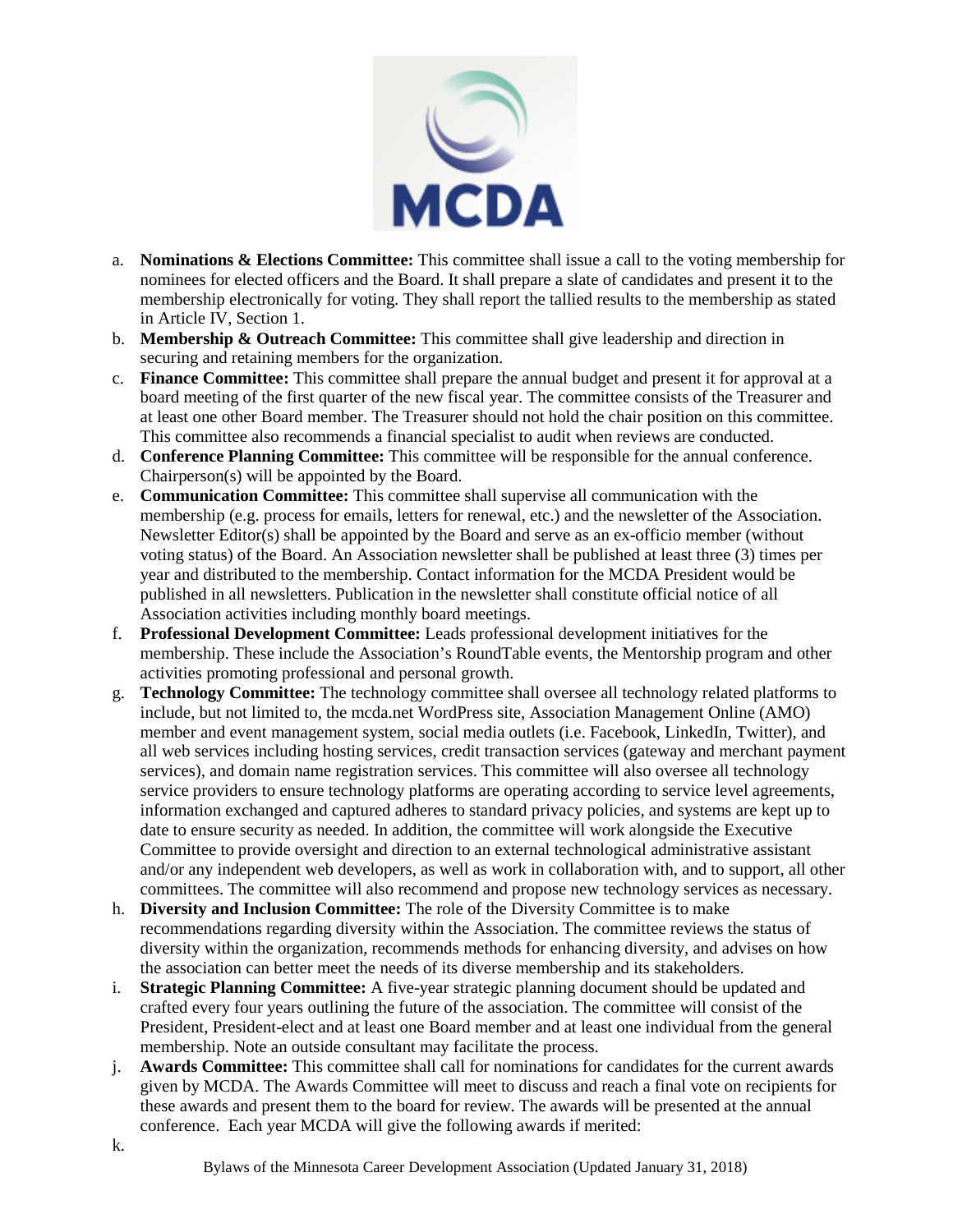

- a. **Nominations & Elections Committee:** This committee shall issue a call to the voting membership for nominees for elected officers and the Board. It shall prepare a slate of candidates and present it to the membership electronically for voting. They shall report the tallied results to the membership as stated in Article IV, Section 1.
- b. **Membership & Outreach Committee:** This committee shall give leadership and direction in securing and retaining members for the organization.
- c. **Finance Committee:** This committee shall prepare the annual budget and present it for approval at a board meeting of the first quarter of the new fiscal year. The committee consists of the Treasurer and at least one other Board member. The Treasurer should not hold the chair position on this committee. This committee also recommends a financial specialist to audit when reviews are conducted.
- d. **Conference Planning Committee:** This committee will be responsible for the annual conference. Chairperson(s) will be appointed by the Board.
- e. **Communication Committee:** This committee shall supervise all communication with the membership (e.g. process for emails, letters for renewal, etc.) and the newsletter of the Association. Newsletter Editor(s) shall be appointed by the Board and serve as an ex-officio member (without voting status) of the Board. An Association newsletter shall be published at least three (3) times per year and distributed to the membership. Contact information for the MCDA President would be published in all newsletters. Publication in the newsletter shall constitute official notice of all Association activities including monthly board meetings.
- f. **Professional Development Committee:** Leads professional development initiatives for the membership. These include the Association's RoundTable events, the Mentorship program and other activities promoting professional and personal growth.
- g. **Technology Committee:** The technology committee shall oversee all technology related platforms to include, but not limited to, the mcda.net WordPress site, Association Management Online (AMO) member and event management system, social media outlets (i.e. Facebook, LinkedIn, Twitter), and all web services including hosting services, credit transaction services (gateway and merchant payment services), and domain name registration services. This committee will also oversee all technology service providers to ensure technology platforms are operating according to service level agreements, information exchanged and captured adheres to standard privacy policies, and systems are kept up to date to ensure security as needed. In addition, the committee will work alongside the Executive Committee to provide oversight and direction to an external technological administrative assistant and/or any independent web developers, as well as work in collaboration with, and to support, all other committees. The committee will also recommend and propose new technology services as necessary.
- h. **Diversity and Inclusion Committee:** The role of the Diversity Committee is to make recommendations regarding diversity within the Association. The committee reviews the status of diversity within the organization, recommends methods for enhancing diversity, and advises on how the association can better meet the needs of its diverse membership and its stakeholders.
- i. **Strategic Planning Committee:** A five-year strategic planning document should be updated and crafted every four years outlining the future of the association. The committee will consist of the President, President-elect and at least one Board member and at least one individual from the general membership. Note an outside consultant may facilitate the process.
- j. **Awards Committee:** This committee shall call for nominations for candidates for the current awards given by MCDA. The Awards Committee will meet to discuss and reach a final vote on recipients for these awards and present them to the board for review. The awards will be presented at the annual conference. Each year MCDA will give the following awards if merited: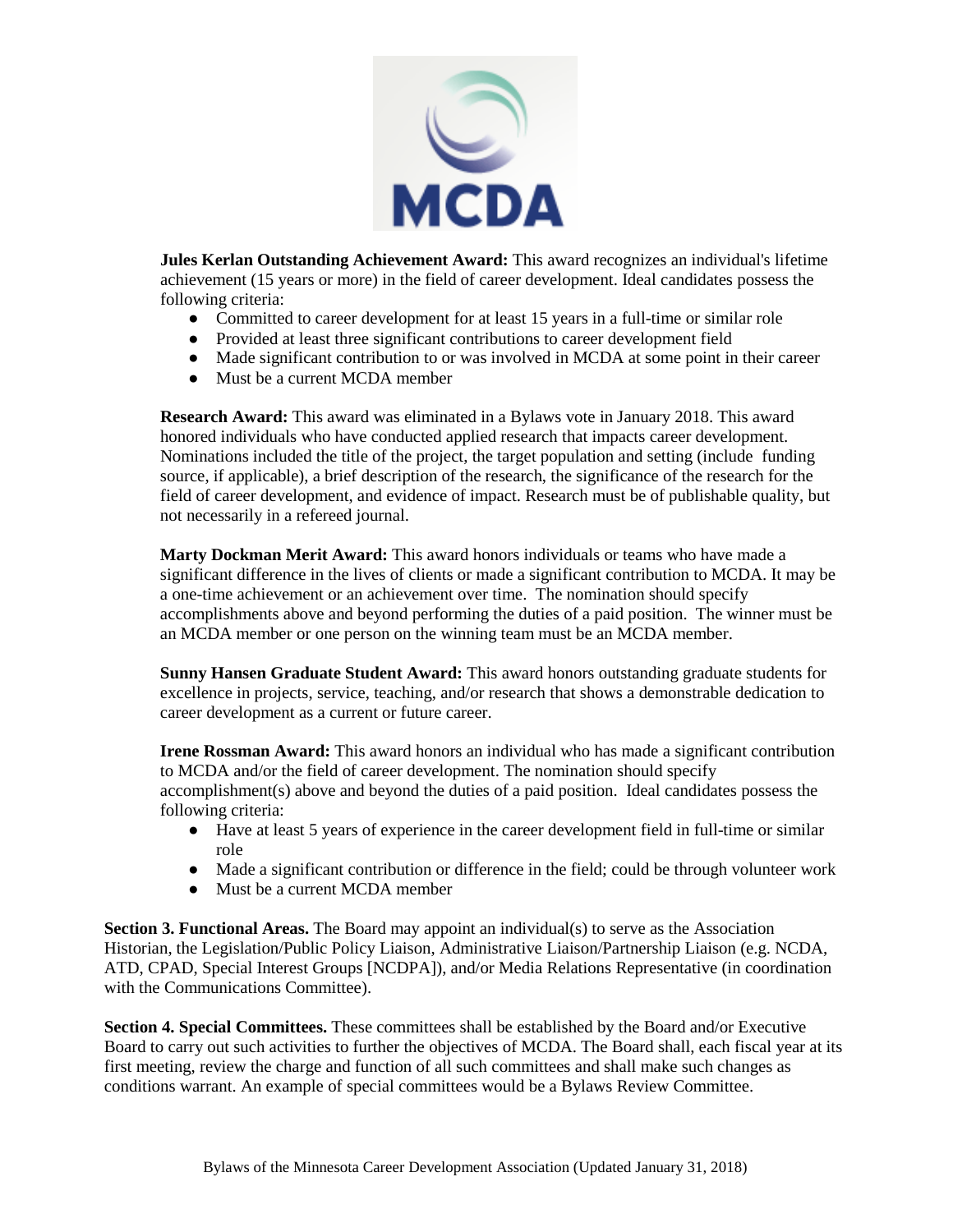

**Jules Kerlan Outstanding Achievement Award:** This award recognizes an individual's lifetime achievement (15 years or more) in the field of career development. Ideal candidates possess the following criteria:

- Committed to career development for at least 15 years in a full-time or similar role
- Provided at least three significant contributions to career development field
- Made significant contribution to or was involved in MCDA at some point in their career
- Must be a current MCDA member

**Research Award:** This award was eliminated in a Bylaws vote in January 2018. This award honored individuals who have conducted applied research that impacts career development. Nominations included the title of the project, the target population and setting (include funding source, if applicable), a brief description of the research, the significance of the research for the field of career development, and evidence of impact. Research must be of publishable quality, but not necessarily in a refereed journal.

**Marty Dockman Merit Award:** This award honors individuals or teams who have made a significant difference in the lives of clients or made a significant contribution to MCDA. It may be a one-time achievement or an achievement over time. The nomination should specify accomplishments above and beyond performing the duties of a paid position. The winner must be an MCDA member or one person on the winning team must be an MCDA member.

**Sunny Hansen Graduate Student Award:** This award honors outstanding graduate students for excellence in projects, service, teaching, and/or research that shows a demonstrable dedication to career development as a current or future career.

**Irene Rossman Award:** This award honors an individual who has made a significant contribution to MCDA and/or the field of career development. The nomination should specify accomplishment(s) above and beyond the duties of a paid position. Ideal candidates possess the following criteria:

- Have at least 5 years of experience in the career development field in full-time or similar role
- Made a significant contribution or difference in the field; could be through volunteer work
- Must be a current MCDA member

**Section 3. Functional Areas.** The Board may appoint an individual(s) to serve as the Association Historian, the Legislation/Public Policy Liaison, Administrative Liaison/Partnership Liaison (e.g. NCDA, ATD, CPAD, Special Interest Groups [NCDPA]), and/or Media Relations Representative (in coordination with the Communications Committee).

**Section 4. Special Committees.** These committees shall be established by the Board and/or Executive Board to carry out such activities to further the objectives of MCDA. The Board shall, each fiscal year at its first meeting, review the charge and function of all such committees and shall make such changes as conditions warrant. An example of special committees would be a Bylaws Review Committee.